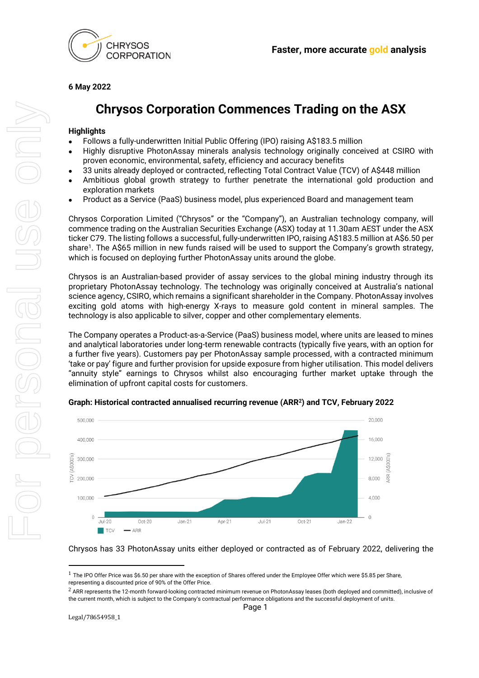

**6 May 2022**

# **Chrysos Corporation Commences Trading on the ASX**

## **Highlights**

- Follows a fully-underwritten Initial Public Offering (IPO) raising A\$183.5 million
- Highly disruptive PhotonAssay minerals analysis technology originally conceived at CSIRO with proven economic, environmental, safety, efficiency and accuracy benefits
- 33 units already deployed or contracted, reflecting Total Contract Value (TCV) of A\$448 million
- Ambitious global growth strategy to further penetrate the international gold production and exploration markets
- Product as a Service (PaaS) business model, plus experienced Board and management team

Chrysos Corporation Limited ("Chrysos" or the "Company"), an Australian technology company, will commence trading on the Australian Securities Exchange (ASX) today at 11.30am AEST under the ASX ticker C79. The listing follows a successful, fully-underwritten IPO, raising A\$183.5 million at A\$6.50 per share<sup>1</sup>. The A\$65 million in new funds raised will be used to support the Company's growth strategy, which is focused on deploying further PhotonAssay units around the globe.

Chrysos is an Australian-based provider of assay services to the global mining industry through its proprietary PhotonAssay technology. The technology was originally conceived at Australia's national science agency, CSIRO, which remains a significant shareholder in the Company. PhotonAssay involves exciting gold atoms with high-energy X-rays to measure gold content in mineral samples. The technology is also applicable to silver, copper and other complementary elements.

The Company operates a Product-as-a-Service (PaaS) business model, where units are leased to mines and analytical laboratories under long-term renewable contracts (typically five years, with an option for a further five years). Customers pay per PhotonAssay sample processed, with a contracted minimum 'take or pay' figure and further provision for upside exposure from higher utilisation. This model delivers "annuity style" earnings to Chrysos whilst also encouraging further market uptake through the elimination of upfront capital costs for customers.



### **Graph: Historical contracted annualised recurring revenue (ARR<sup>2</sup> ) and TCV, February 2022**

Chrysos has 33 PhotonAssay units either deployed or contracted as of February 2022, delivering the

 $1$  The IPO Offer Price was \$6.50 per share with the exception of Shares offered under the Employee Offer which were \$5.85 per Share, representing a discounted price of 90% of the Offer Price.

<sup>&</sup>lt;sup>2</sup> ARR represents the 12-month forward-looking contracted minimum revenue on PhotonAssay leases (both deployed and committed), inclusive of the current month, which is subject to the Company's contractual performance obligations and the successful deployment of units.